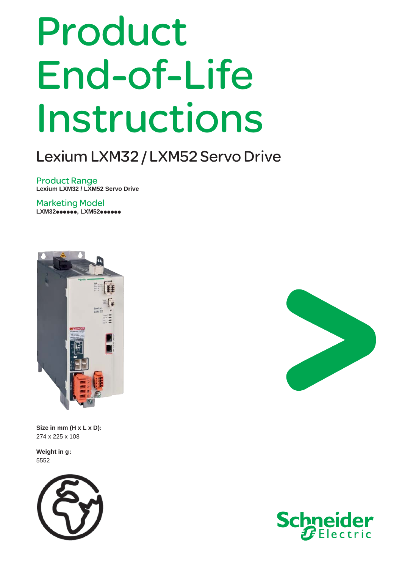## Product End-of-Life Instructions

## Lexium LXM32 / LXM52 Servo Drive

Product Range **Lexium LXM32 / LXM52 Servo Drive**

Marketing Model LXM32**••••••**, LXM52••••••



**Size in mm (H x L x D):** 274 x 225 x 108

**Weight in g:** 5552





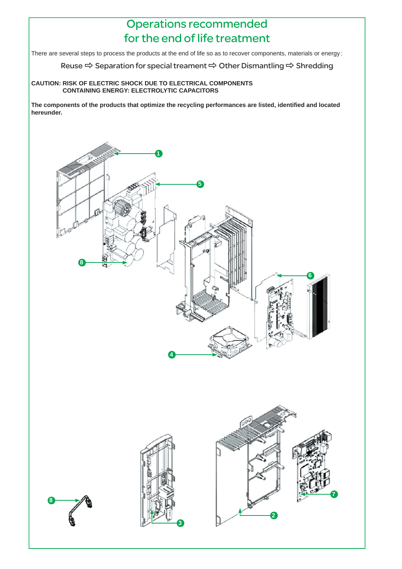## Operations recommended for the end of life treatment

There are several steps to process the products at the end of life so as to recover components, materials or energy :

Reuse  $\Rightarrow$  Separation for special treament  $\Rightarrow$  Other Dismantling  $\Rightarrow$  Shredding

## **CAUTION: RISK OF ELECTRIC SHOCK DUE TO ELECTRICAL COMPONENTS CONTAINING ENERGY: ELECTROLYTIC CAPACITORS**

The components of the products that optimize the recycling performances are listed, identified and located **hereunder.**